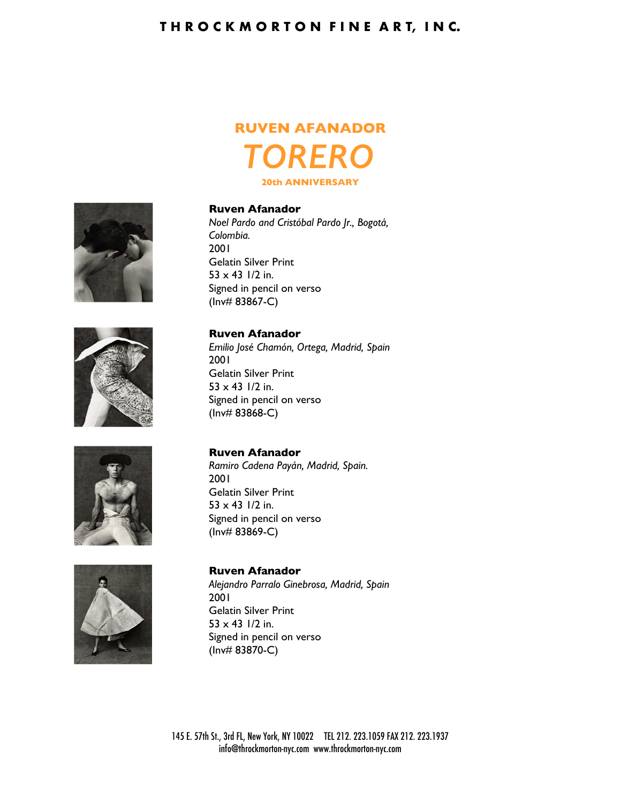## **T H R O C K M O R T O N F I N E A R T, I N C.**

# **RUVEN AFANADOR** *TORERO* **20th ANNIVERSARY**



*Noel Pardo and Cristóbal Pardo Jr., Bogotá, Colombia.* 2001 Gelatin Silver Print  $53 \times 43$  1/2 in. Signed in pencil on verso (Inv# 83867-C)

## **Ruven Afanador**

*Emilio José Chamón, Ortega, Madrid, Spain* 2001 Gelatin Silver Print  $53 \times 43$  1/2 in. Signed in pencil on verso (Inv# 83868-C)

**Ruven Afanador**

*Ramiro Cadena Payán, Madrid, Spain.* 2001 Gelatin Silver Print  $53 \times 43$  1/2 in. Signed in pencil on verso (Inv# 83869-C)



**Ruven Afanador** *Alejandro Parralo Ginebrosa, Madrid, Spain* 2001 Gelatin Silver Print  $53 \times 43$  1/2 in. Signed in pencil on verso (Inv# 83870-C)



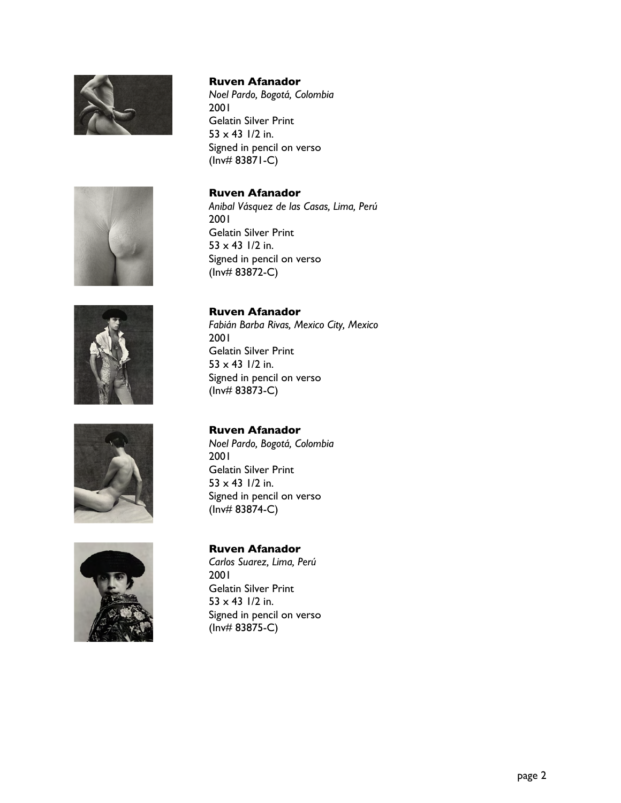

*Noel Pardo, Bogotá, Colombia* 2001 Gelatin Silver Print  $53 \times 43$  1/2 in. Signed in pencil on verso (Inv# 83871-C)









#### **Ruven Afanador**

*Anibal Vásquez de las Casas, Lima, Perú* 2001 Gelatin Silver Print  $53 \times 43$  1/2 in. Signed in pencil on verso (Inv# 83872-C)

#### **Ruven Afanador**

*Fabián Barba Rivas, Mexico City, Mexico* 2001 Gelatin Silver Print  $53 \times 43$  1/2 in. Signed in pencil on verso (Inv# 83873-C)

### **Ruven Afanador**

*Noel Pardo, Bogotá, Colombia* 2001 Gelatin Silver Print  $53 \times 43$  1/2 in. Signed in pencil on verso (Inv# 83874-C)

#### **Ruven Afanador**

*Carlos Suarez, Lima, Perú* 2001 Gelatin Silver Print  $53 \times 43$  1/2 in. Signed in pencil on verso (Inv# 83875-C)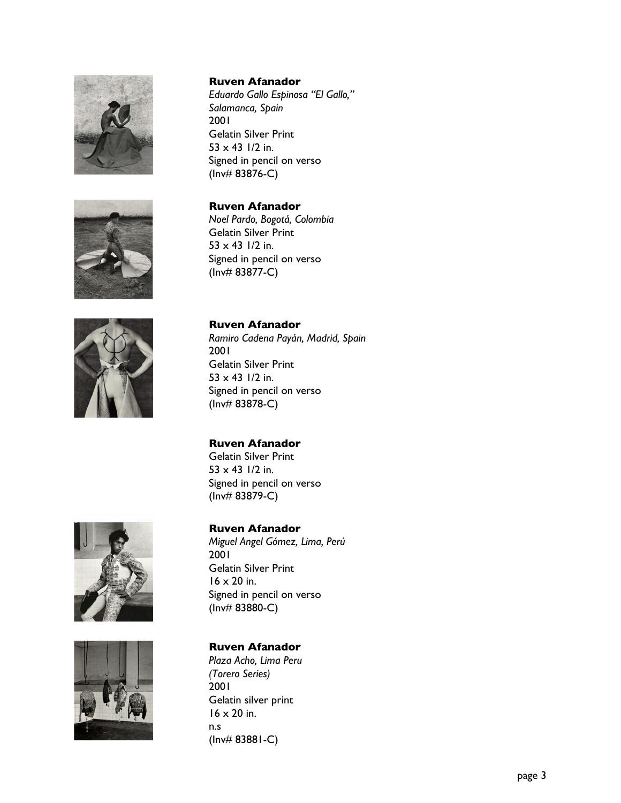

*Eduardo Gallo Espinosa "El Gallo," Salamanca, Spain* 2001 Gelatin Silver Print  $53 \times 43$  1/2 in. Signed in pencil on verso (Inv# 83876-C)

## **Ruven Afanador**

*Noel Pardo, Bogotá, Colombia* Gelatin Silver Print  $53 \times 43$  1/2 in. Signed in pencil on verso (Inv# 83877-C)



#### **Ruven Afanador**

*Ramiro Cadena Payán, Madrid, Spain* 2001 Gelatin Silver Print  $53 \times 43$  1/2 in. Signed in pencil on verso (Inv# 83878-C)

### **Ruven Afanador**

Gelatin Silver Print  $53 \times 43$  1/2 in. Signed in pencil on verso (Inv# 83879-C)





#### **Ruven Afanador**

*Miguel Angel Gómez, Lima, Perú* 2001 Gelatin Silver Print  $16 \times 20$  in. Signed in pencil on verso (Inv# 83880-C)

### **Ruven Afanador**

*Plaza Acho, Lima Peru (Torero Series)* 2001 Gelatin silver print 16 x 20 in. n.s (Inv# 83881-C)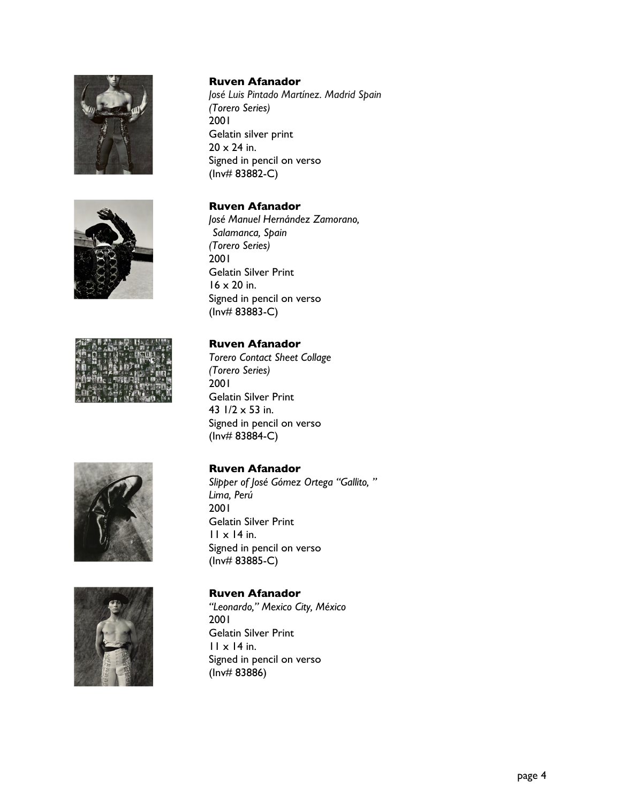





*José Luis Pintado Martínez. Madrid Spain (Torero Series)* 2001 Gelatin silver print  $20 \times 24$  in. Signed in pencil on verso (Inv# 83882-C)

#### **Ruven Afanador**

*José Manuel Hernández Zamorano, Salamanca, Spain (Torero Series)* 2001 Gelatin Silver Print 16 x 20 in. Signed in pencil on verso (Inv# 83883-C)

### **Ruven Afanador**

*Torero Contact Sheet Collage (Torero Series)* 2001 Gelatin Silver Print 43  $1/2 \times 53$  in. Signed in pencil on verso (Inv# 83884-C)

#### **Ruven Afanador**

*Slipper of José Gómez Ortega "Gallito, " Lima, Perú* 2001 Gelatin Silver Print 11 x 14 in. Signed in pencil on verso (Inv# 83885-C)



## **Ruven Afanador**

*"Leonardo," Mexico City, México* 2001 Gelatin Silver Print 11 x 14 in. Signed in pencil on verso (Inv# 83886)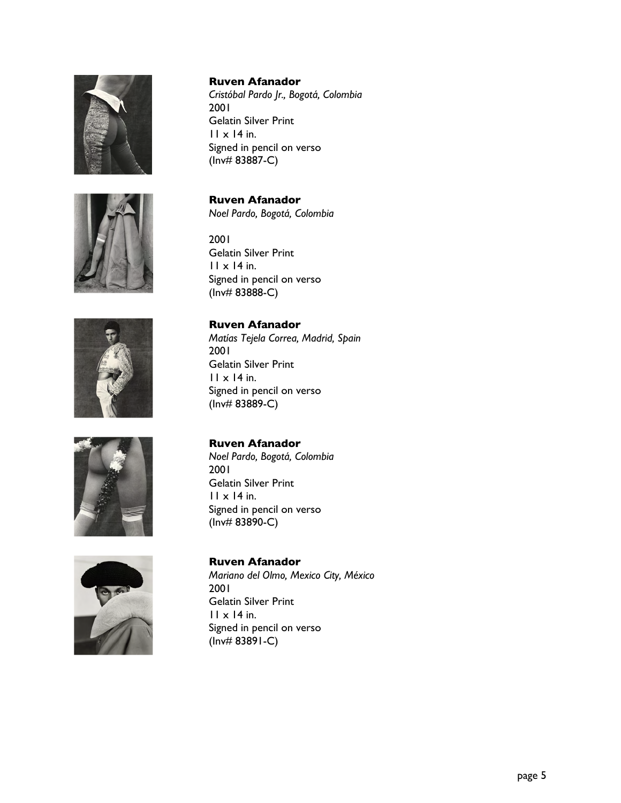









*Cristóbal Pardo Jr., Bogotá, Colombia* 2001 Gelatin Silver Print  $11 \times 14$  in. Signed in pencil on verso (Inv# 83887-C)

## **Ruven Afanador**

*Noel Pardo, Bogotá, Colombia*

#### 2001 Gelatin Silver Print  $11 \times 14$  in. Signed in pencil on verso (Inv# 83888-C)

#### **Ruven Afanador**

*Matías Tejela Correa, Madrid, Spain* 2001 Gelatin Silver Print  $11 \times 14$  in. Signed in pencil on verso (Inv# 83889-C)

## **Ruven Afanador**

*Noel Pardo, Bogotá, Colombia* 2001 Gelatin Silver Print  $11 \times 14$  in. Signed in pencil on verso (Inv# 83890-C)

#### **Ruven Afanador**

*Mariano del Olmo, Mexico City, México* 2001 Gelatin Silver Print  $11 \times 14$  in. Signed in pencil on verso (Inv# 83891-C)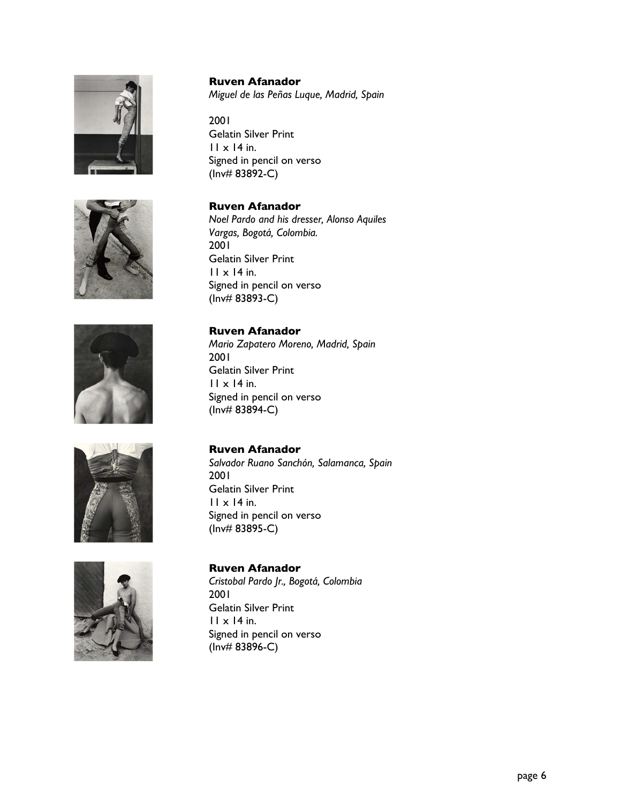









**Ruven Afanador** *Miguel de las Peñas Luque, Madrid, Spain*

2001 Gelatin Silver Print  $11 \times 14$  in. Signed in pencil on verso (Inv# 83892-C)

#### **Ruven Afanador**

*Noel Pardo and his dresser, Alonso Aquiles Vargas, Bogotá, Colombia.* 2001 Gelatin Silver Print 11 x 14 in. Signed in pencil on verso (Inv# 83893-C)

#### **Ruven Afanador**

*Mario Zapatero Moreno, Madrid, Spain* 2001 Gelatin Silver Print  $11 \times 14$  in. Signed in pencil on verso (Inv# 83894-C)

#### **Ruven Afanador**

*Salvador Ruano Sanchón, Salamanca, Spain* 2001 Gelatin Silver Print  $11 \times 14$  in. Signed in pencil on verso (Inv# 83895-C)

## **Ruven Afanador**

*Cristobal Pardo Jr., Bogotá, Colombia* 2001 Gelatin Silver Print  $11 \times 14$  in. Signed in pencil on verso (Inv# 83896-C)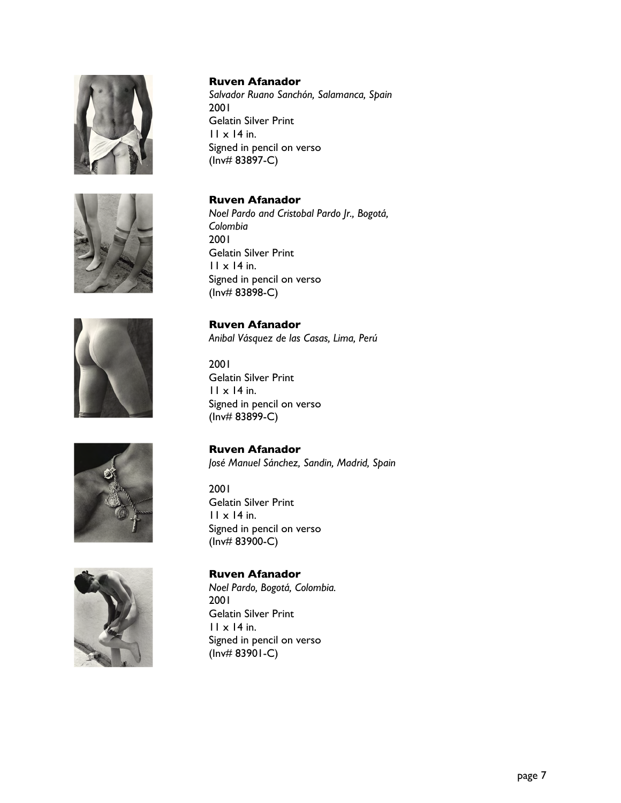





*Salvador Ruano Sanchón, Salamanca, Spain* 2001 Gelatin Silver Print  $11 \times 14$  in. Signed in pencil on verso (Inv# 83897-C)

#### **Ruven Afanador**

*Noel Pardo and Cristobal Pardo Jr., Bogotá, Colombia* 2001 Gelatin Silver Print  $11 \times 14$  in. Signed in pencil on verso (Inv# 83898-C)

#### **Ruven Afanador**

*Anibal Vásquez de las Casas, Lima, Perú*

#### 2001 Gelatin Silver Print  $11 \times 14$  in. Signed in pencil on verso (Inv# 83899-C)

## **Ruven Afanador**

Gelatin Silver Print

2001

*José Manuel Sánchez, Sandin, Madrid, Spain*





## 11 x 14 in. Signed in pencil on verso (Inv# 83900-C)

**Ruven Afanador** *Noel Pardo, Bogotá, Colombia.* 2001 Gelatin Silver Print  $11 \times 14$  in. Signed in pencil on verso (Inv# 83901-C)

page 7